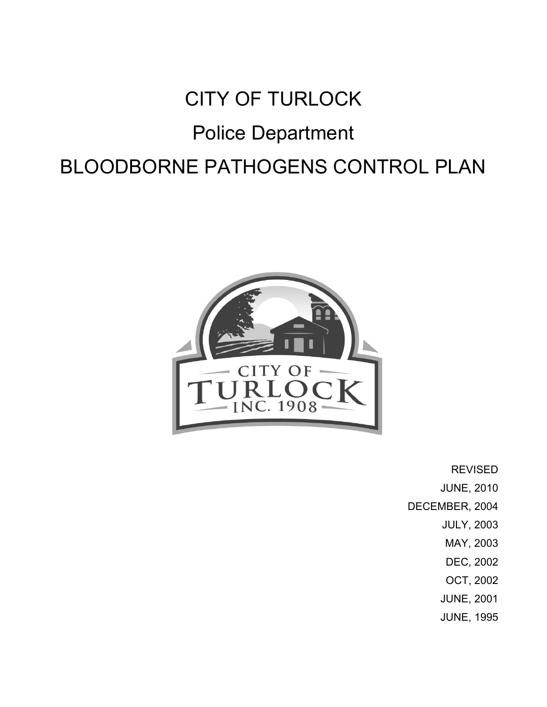# CITY OF TURLOCK Police Department BLOODBORNE PATHOGENS CONTROL PLAN



REVISED

JUNE, 2010

DECEMBER, 2004

- JULY, 2003
- MAY, 2003
- DEC, 2002
- OCT, 2002
- JUNE, 2001
- JUNE, 1995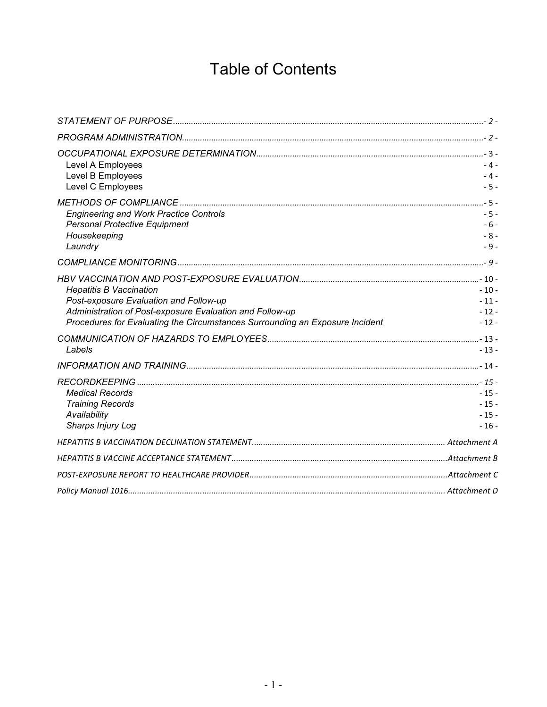# Table of Contents

| Level A Employees<br>Level B Employees                                       | $-4-$<br>$-4-$ |
|------------------------------------------------------------------------------|----------------|
| Level C Employees                                                            | $-5-$          |
|                                                                              |                |
| <b>Engineering and Work Practice Controls</b>                                | $-5-$          |
| <b>Personal Protective Equipment</b><br>Housekeeping                         | $-6-$<br>$-8-$ |
| Laundry                                                                      | $-9-$          |
|                                                                              |                |
|                                                                              |                |
| <b>Hepatitis B Vaccination</b>                                               | $-10-$         |
| Post-exposure Evaluation and Follow-up                                       | $-11-$         |
| Administration of Post-exposure Evaluation and Follow-up                     | $-12-$         |
| Procedures for Evaluating the Circumstances Surrounding an Exposure Incident | $-12-$         |
|                                                                              |                |
| Labels                                                                       | $-13-$         |
|                                                                              |                |
|                                                                              |                |
| <b>Medical Records</b>                                                       | $-15-$         |
| <b>Training Records</b>                                                      | $-15-$         |
| Availability                                                                 | $-15-$         |
| Sharps Injury Log                                                            | $-16-$         |
|                                                                              |                |
|                                                                              |                |
|                                                                              |                |
|                                                                              |                |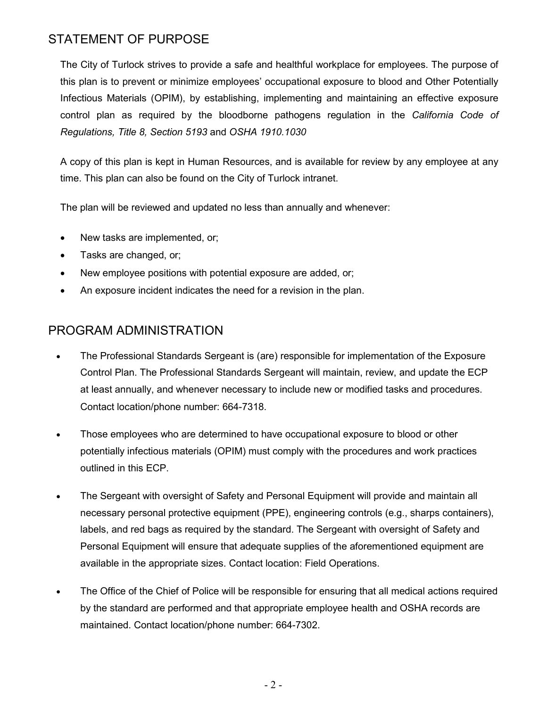# STATEMENT OF PURPOSE

The City of Turlock strives to provide a safe and healthful workplace for employees. The purpose of this plan is to prevent or minimize employees' occupational exposure to blood and Other Potentially Infectious Materials (OPIM), by establishing, implementing and maintaining an effective exposure control plan as required by the bloodborne pathogens regulation in the California Code of Regulations, Title 8, Section 5193 and OSHA 1910.1030

A copy of this plan is kept in Human Resources, and is available for review by any employee at any time. This plan can also be found on the City of Turlock intranet.

The plan will be reviewed and updated no less than annually and whenever:

- New tasks are implemented, or;
- Tasks are changed, or;
- New employee positions with potential exposure are added, or;
- An exposure incident indicates the need for a revision in the plan.

# PROGRAM ADMINISTRATION

- The Professional Standards Sergeant is (are) responsible for implementation of the Exposure Control Plan. The Professional Standards Sergeant will maintain, review, and update the ECP at least annually, and whenever necessary to include new or modified tasks and procedures. Contact location/phone number: 664-7318.
- Those employees who are determined to have occupational exposure to blood or other potentially infectious materials (OPIM) must comply with the procedures and work practices outlined in this ECP.
- The Sergeant with oversight of Safety and Personal Equipment will provide and maintain all necessary personal protective equipment (PPE), engineering controls (e.g., sharps containers), labels, and red bags as required by the standard. The Sergeant with oversight of Safety and Personal Equipment will ensure that adequate supplies of the aforementioned equipment are available in the appropriate sizes. Contact location: Field Operations.
- The Office of the Chief of Police will be responsible for ensuring that all medical actions required by the standard are performed and that appropriate employee health and OSHA records are maintained. Contact location/phone number: 664-7302.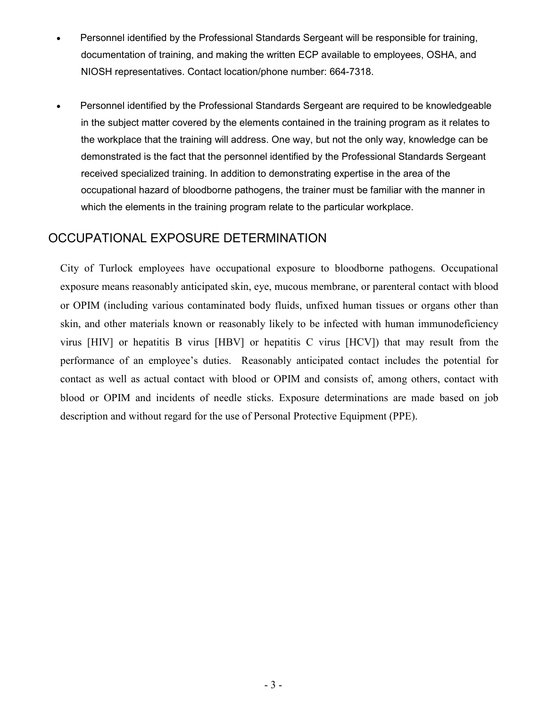- Personnel identified by the Professional Standards Sergeant will be responsible for training, documentation of training, and making the written ECP available to employees, OSHA, and NIOSH representatives. Contact location/phone number: 664-7318.
- Personnel identified by the Professional Standards Sergeant are required to be knowledgeable in the subject matter covered by the elements contained in the training program as it relates to the workplace that the training will address. One way, but not the only way, knowledge can be demonstrated is the fact that the personnel identified by the Professional Standards Sergeant received specialized training. In addition to demonstrating expertise in the area of the occupational hazard of bloodborne pathogens, the trainer must be familiar with the manner in which the elements in the training program relate to the particular workplace.

### OCCUPATIONAL EXPOSURE DETERMINATION

City of Turlock employees have occupational exposure to bloodborne pathogens. Occupational exposure means reasonably anticipated skin, eye, mucous membrane, or parenteral contact with blood or OPIM (including various contaminated body fluids, unfixed human tissues or organs other than skin, and other materials known or reasonably likely to be infected with human immunodeficiency virus [HIV] or hepatitis B virus [HBV] or hepatitis C virus [HCV]) that may result from the performance of an employee's duties. Reasonably anticipated contact includes the potential for contact as well as actual contact with blood or OPIM and consists of, among others, contact with blood or OPIM and incidents of needle sticks. Exposure determinations are made based on job description and without regard for the use of Personal Protective Equipment (PPE).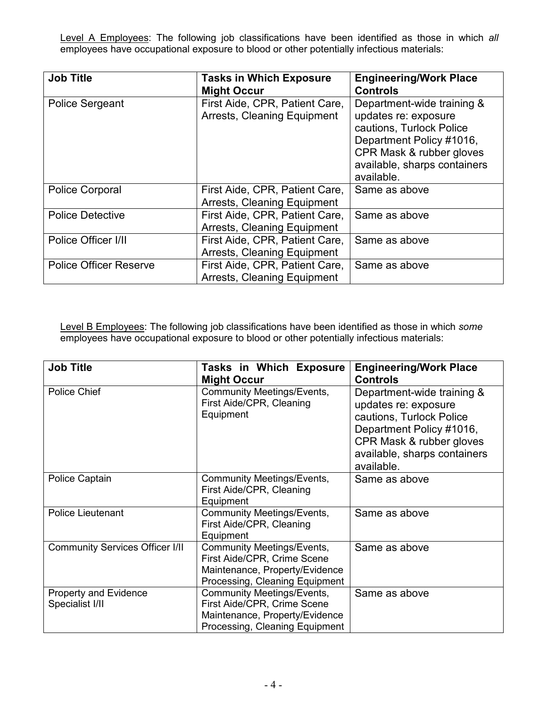Level A Employees: The following job classifications have been identified as those in which all employees have occupational exposure to blood or other potentially infectious materials:

| <b>Job Title</b>              | <b>Tasks in Which Exposure</b>                                | <b>Engineering/Work Place</b>                                                                                                                                                        |
|-------------------------------|---------------------------------------------------------------|--------------------------------------------------------------------------------------------------------------------------------------------------------------------------------------|
|                               | <b>Might Occur</b>                                            | <b>Controls</b>                                                                                                                                                                      |
| <b>Police Sergeant</b>        | First Aide, CPR, Patient Care,<br>Arrests, Cleaning Equipment | Department-wide training &<br>updates re: exposure<br>cautions, Turlock Police<br>Department Policy #1016,<br>CPR Mask & rubber gloves<br>available, sharps containers<br>available. |
| <b>Police Corporal</b>        | First Aide, CPR, Patient Care,<br>Arrests, Cleaning Equipment | Same as above                                                                                                                                                                        |
| <b>Police Detective</b>       | First Aide, CPR, Patient Care,<br>Arrests, Cleaning Equipment | Same as above                                                                                                                                                                        |
| Police Officer I/II           | First Aide, CPR, Patient Care,<br>Arrests, Cleaning Equipment | Same as above                                                                                                                                                                        |
| <b>Police Officer Reserve</b> | First Aide, CPR, Patient Care,<br>Arrests, Cleaning Equipment | Same as above                                                                                                                                                                        |

Level B Employees: The following job classifications have been identified as those in which some employees have occupational exposure to blood or other potentially infectious materials:

| <b>Job Title</b>                                | Tasks in Which Exposure<br><b>Might Occur</b>                                                                                        | <b>Engineering/Work Place</b><br><b>Controls</b>                                                                                                                                     |
|-------------------------------------------------|--------------------------------------------------------------------------------------------------------------------------------------|--------------------------------------------------------------------------------------------------------------------------------------------------------------------------------------|
| Police Chief                                    | <b>Community Meetings/Events,</b><br>First Aide/CPR, Cleaning<br>Equipment                                                           | Department-wide training &<br>updates re: exposure<br>cautions, Turlock Police<br>Department Policy #1016,<br>CPR Mask & rubber gloves<br>available, sharps containers<br>available. |
| Police Captain                                  | Community Meetings/Events,<br>First Aide/CPR, Cleaning<br>Equipment                                                                  | Same as above                                                                                                                                                                        |
| <b>Police Lieutenant</b>                        | Community Meetings/Events,<br>First Aide/CPR, Cleaning<br>Equipment                                                                  | Same as above                                                                                                                                                                        |
| <b>Community Services Officer I/II</b>          | Community Meetings/Events,<br>First Aide/CPR, Crime Scene<br>Maintenance, Property/Evidence<br>Processing, Cleaning Equipment        | Same as above                                                                                                                                                                        |
| <b>Property and Evidence</b><br>Specialist I/II | <b>Community Meetings/Events,</b><br>First Aide/CPR, Crime Scene<br>Maintenance, Property/Evidence<br>Processing, Cleaning Equipment | Same as above                                                                                                                                                                        |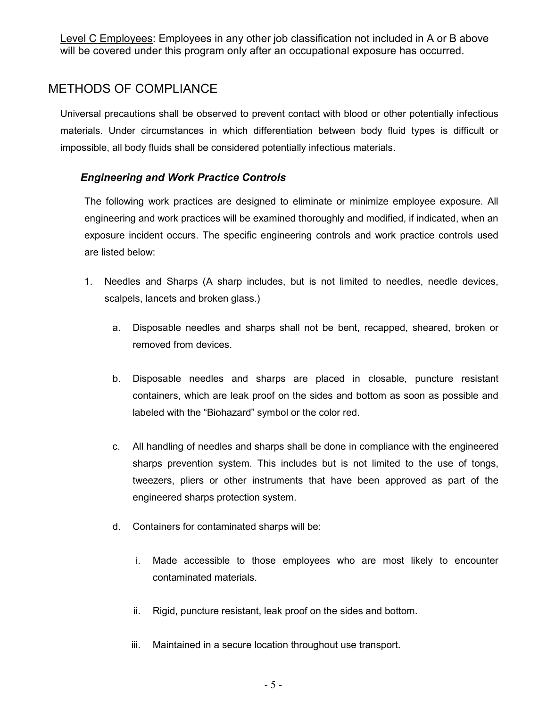Level C Employees: Employees in any other job classification not included in A or B above will be covered under this program only after an occupational exposure has occurred.

# METHODS OF COMPLIANCE

Universal precautions shall be observed to prevent contact with blood or other potentially infectious materials. Under circumstances in which differentiation between body fluid types is difficult or impossible, all body fluids shall be considered potentially infectious materials.

### Engineering and Work Practice Controls

The following work practices are designed to eliminate or minimize employee exposure. All engineering and work practices will be examined thoroughly and modified, if indicated, when an exposure incident occurs. The specific engineering controls and work practice controls used are listed below:

- 1. Needles and Sharps (A sharp includes, but is not limited to needles, needle devices, scalpels, lancets and broken glass.)
	- a. Disposable needles and sharps shall not be bent, recapped, sheared, broken or removed from devices.
	- b. Disposable needles and sharps are placed in closable, puncture resistant containers, which are leak proof on the sides and bottom as soon as possible and labeled with the "Biohazard" symbol or the color red.
	- c. All handling of needles and sharps shall be done in compliance with the engineered sharps prevention system. This includes but is not limited to the use of tongs, tweezers, pliers or other instruments that have been approved as part of the engineered sharps protection system.
	- d. Containers for contaminated sharps will be:
		- i. Made accessible to those employees who are most likely to encounter contaminated materials.
		- ii. Rigid, puncture resistant, leak proof on the sides and bottom.
		- iii. Maintained in a secure location throughout use transport.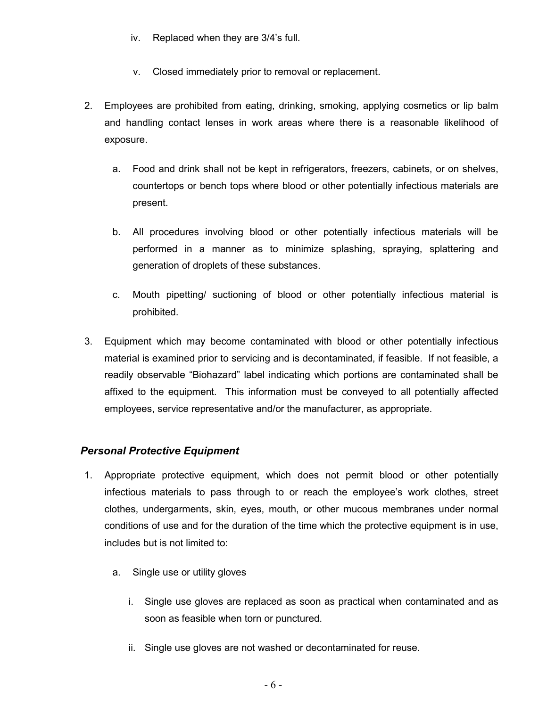- iv. Replaced when they are 3/4's full.
- v. Closed immediately prior to removal or replacement.
- 2. Employees are prohibited from eating, drinking, smoking, applying cosmetics or lip balm and handling contact lenses in work areas where there is a reasonable likelihood of exposure.
	- a. Food and drink shall not be kept in refrigerators, freezers, cabinets, or on shelves, countertops or bench tops where blood or other potentially infectious materials are present.
	- b. All procedures involving blood or other potentially infectious materials will be performed in a manner as to minimize splashing, spraying, splattering and generation of droplets of these substances.
	- c. Mouth pipetting/ suctioning of blood or other potentially infectious material is prohibited.
- 3. Equipment which may become contaminated with blood or other potentially infectious material is examined prior to servicing and is decontaminated, if feasible. If not feasible, a readily observable "Biohazard" label indicating which portions are contaminated shall be affixed to the equipment. This information must be conveyed to all potentially affected employees, service representative and/or the manufacturer, as appropriate.

### Personal Protective Equipment

- 1. Appropriate protective equipment, which does not permit blood or other potentially infectious materials to pass through to or reach the employee's work clothes, street clothes, undergarments, skin, eyes, mouth, or other mucous membranes under normal conditions of use and for the duration of the time which the protective equipment is in use, includes but is not limited to:
	- a. Single use or utility gloves
		- i. Single use gloves are replaced as soon as practical when contaminated and as soon as feasible when torn or punctured.
		- ii. Single use gloves are not washed or decontaminated for reuse.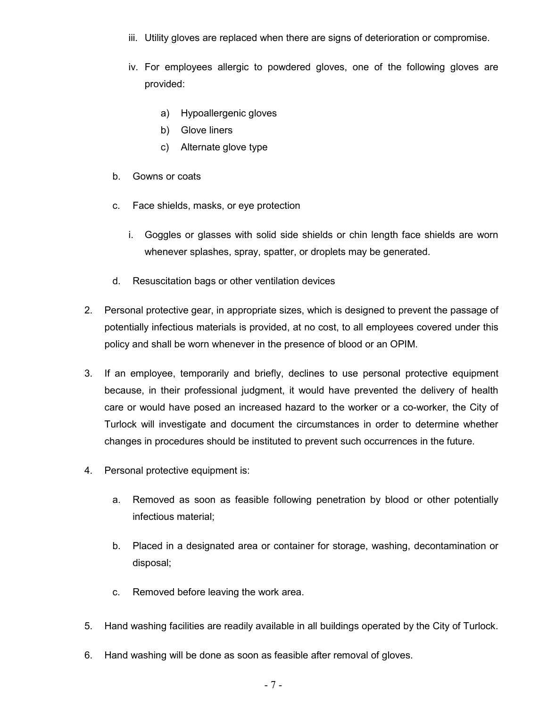- iii. Utility gloves are replaced when there are signs of deterioration or compromise.
- iv. For employees allergic to powdered gloves, one of the following gloves are provided:
	- a) Hypoallergenic gloves
	- b) Glove liners
	- c) Alternate glove type
- b. Gowns or coats
- c. Face shields, masks, or eye protection
	- i. Goggles or glasses with solid side shields or chin length face shields are worn whenever splashes, spray, spatter, or droplets may be generated.
- d. Resuscitation bags or other ventilation devices
- 2. Personal protective gear, in appropriate sizes, which is designed to prevent the passage of potentially infectious materials is provided, at no cost, to all employees covered under this policy and shall be worn whenever in the presence of blood or an OPIM.
- 3. If an employee, temporarily and briefly, declines to use personal protective equipment because, in their professional judgment, it would have prevented the delivery of health care or would have posed an increased hazard to the worker or a co-worker, the City of Turlock will investigate and document the circumstances in order to determine whether changes in procedures should be instituted to prevent such occurrences in the future.
- 4. Personal protective equipment is:
	- a. Removed as soon as feasible following penetration by blood or other potentially infectious material;
	- b. Placed in a designated area or container for storage, washing, decontamination or disposal;
	- c. Removed before leaving the work area.
- 5. Hand washing facilities are readily available in all buildings operated by the City of Turlock.
- 6. Hand washing will be done as soon as feasible after removal of gloves.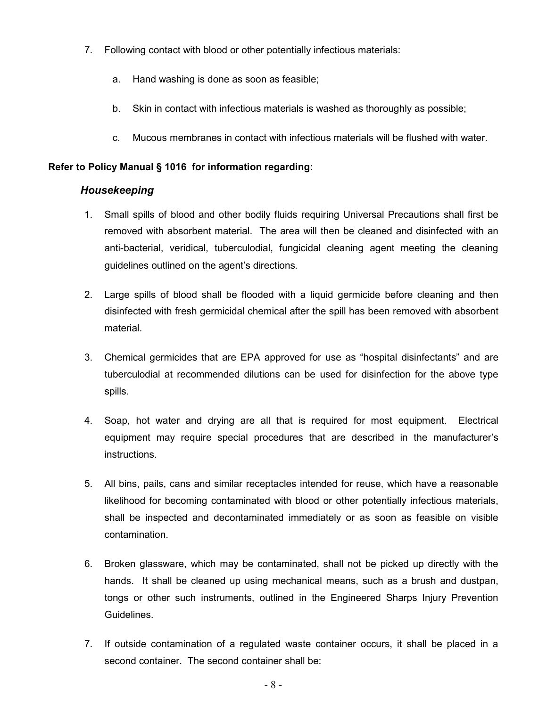- 7. Following contact with blood or other potentially infectious materials:
	- a. Hand washing is done as soon as feasible;
	- b. Skin in contact with infectious materials is washed as thoroughly as possible;
	- c. Mucous membranes in contact with infectious materials will be flushed with water.

#### Refer to Policy Manual § 1016 for information regarding:

#### Housekeeping

- 1. Small spills of blood and other bodily fluids requiring Universal Precautions shall first be removed with absorbent material. The area will then be cleaned and disinfected with an anti-bacterial, veridical, tuberculodial, fungicidal cleaning agent meeting the cleaning guidelines outlined on the agent's directions.
- 2. Large spills of blood shall be flooded with a liquid germicide before cleaning and then disinfected with fresh germicidal chemical after the spill has been removed with absorbent material.
- 3. Chemical germicides that are EPA approved for use as "hospital disinfectants" and are tuberculodial at recommended dilutions can be used for disinfection for the above type spills.
- 4. Soap, hot water and drying are all that is required for most equipment. Electrical equipment may require special procedures that are described in the manufacturer's instructions.
- 5. All bins, pails, cans and similar receptacles intended for reuse, which have a reasonable likelihood for becoming contaminated with blood or other potentially infectious materials, shall be inspected and decontaminated immediately or as soon as feasible on visible contamination.
- 6. Broken glassware, which may be contaminated, shall not be picked up directly with the hands. It shall be cleaned up using mechanical means, such as a brush and dustpan, tongs or other such instruments, outlined in the Engineered Sharps Injury Prevention Guidelines.
- 7. If outside contamination of a regulated waste container occurs, it shall be placed in a second container. The second container shall be: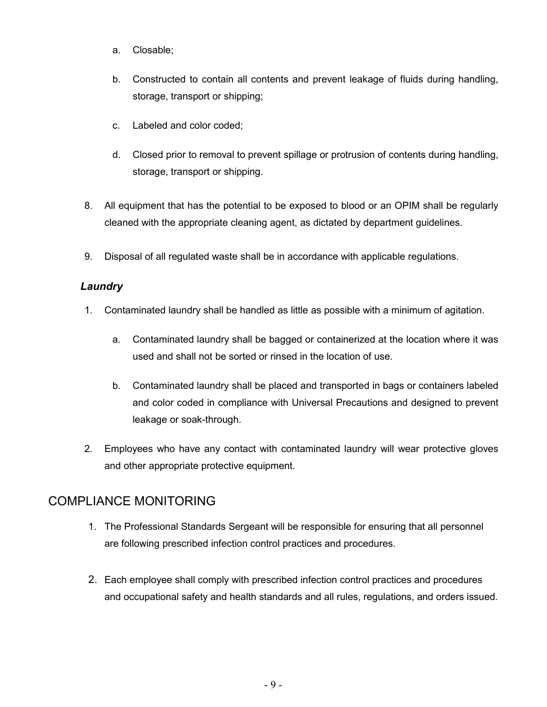- a. Closable;
- b. Constructed to contain all contents and prevent leakage of fluids during handling, storage, transport or shipping;
- c. Labeled and color coded;
- d. Closed prior to removal to prevent spillage or protrusion of contents during handling, storage, transport or shipping.
- 8. All equipment that has the potential to be exposed to blood or an OPIM shall be regularly cleaned with the appropriate cleaning agent, as dictated by department guidelines.
- 9. Disposal of all regulated waste shall be in accordance with applicable regulations.

### Laundry

- 1. Contaminated laundry shall be handled as little as possible with a minimum of agitation.
	- a. Contaminated laundry shall be bagged or containerized at the location where it was used and shall not be sorted or rinsed in the location of use.
	- b. Contaminated laundry shall be placed and transported in bags or containers labeled and color coded in compliance with Universal Precautions and designed to prevent leakage or soak-through.
- 2. Employees who have any contact with contaminated laundry will wear protective gloves and other appropriate protective equipment.

# COMPLIANCE MONITORING

- 1. The Professional Standards Sergeant will be responsible for ensuring that all personnel are following prescribed infection control practices and procedures.
- 2. Each employee shall comply with prescribed infection control practices and procedures and occupational safety and health standards and all rules, regulations, and orders issued.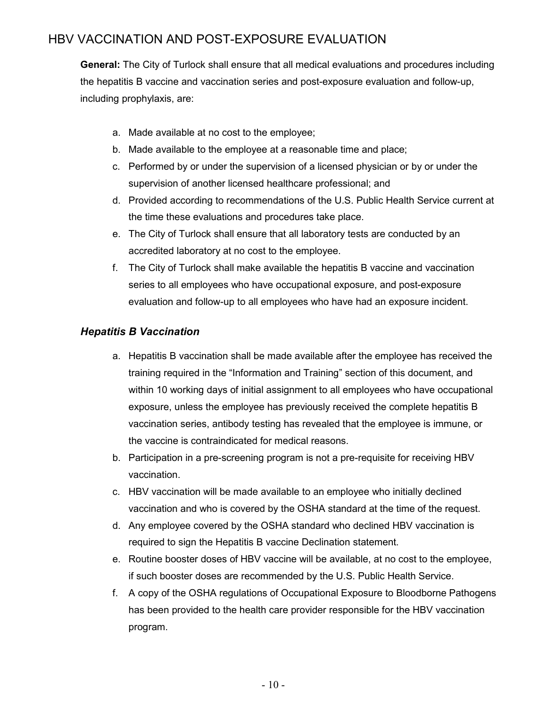# HBV VACCINATION AND POST-EXPOSURE EVALUATION

General: The City of Turlock shall ensure that all medical evaluations and procedures including the hepatitis B vaccine and vaccination series and post-exposure evaluation and follow-up, including prophylaxis, are:

- a. Made available at no cost to the employee;
- b. Made available to the employee at a reasonable time and place;
- c. Performed by or under the supervision of a licensed physician or by or under the supervision of another licensed healthcare professional; and
- d. Provided according to recommendations of the U.S. Public Health Service current at the time these evaluations and procedures take place.
- e. The City of Turlock shall ensure that all laboratory tests are conducted by an accredited laboratory at no cost to the employee.
- f. The City of Turlock shall make available the hepatitis B vaccine and vaccination series to all employees who have occupational exposure, and post-exposure evaluation and follow-up to all employees who have had an exposure incident.

### Hepatitis B Vaccination

- a. Hepatitis B vaccination shall be made available after the employee has received the training required in the "Information and Training" section of this document, and within 10 working days of initial assignment to all employees who have occupational exposure, unless the employee has previously received the complete hepatitis B vaccination series, antibody testing has revealed that the employee is immune, or the vaccine is contraindicated for medical reasons.
- b. Participation in a pre-screening program is not a pre-requisite for receiving HBV vaccination.
- c. HBV vaccination will be made available to an employee who initially declined vaccination and who is covered by the OSHA standard at the time of the request.
- d. Any employee covered by the OSHA standard who declined HBV vaccination is required to sign the Hepatitis B vaccine Declination statement.
- e. Routine booster doses of HBV vaccine will be available, at no cost to the employee, if such booster doses are recommended by the U.S. Public Health Service.
- f. A copy of the OSHA regulations of Occupational Exposure to Bloodborne Pathogens has been provided to the health care provider responsible for the HBV vaccination program.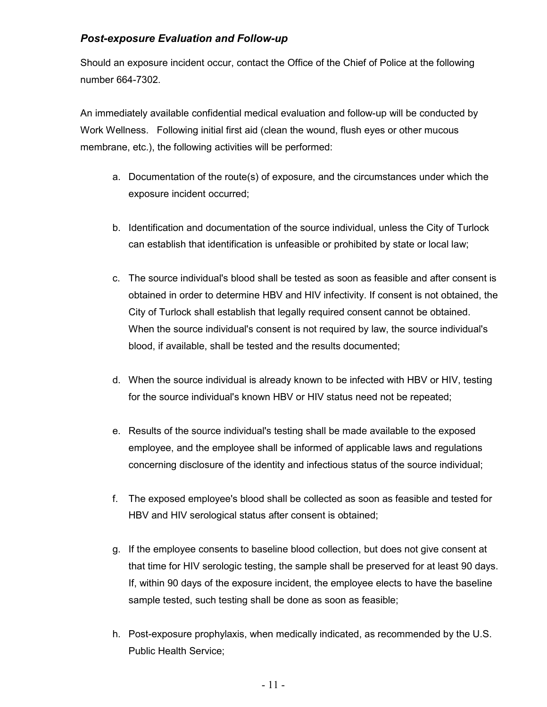### Post-exposure Evaluation and Follow-up

Should an exposure incident occur, contact the Office of the Chief of Police at the following number 664-7302.

An immediately available confidential medical evaluation and follow-up will be conducted by Work Wellness. Following initial first aid (clean the wound, flush eyes or other mucous membrane, etc.), the following activities will be performed:

- a. Documentation of the route(s) of exposure, and the circumstances under which the exposure incident occurred;
- b. Identification and documentation of the source individual, unless the City of Turlock can establish that identification is unfeasible or prohibited by state or local law;
- c. The source individual's blood shall be tested as soon as feasible and after consent is obtained in order to determine HBV and HIV infectivity. If consent is not obtained, the City of Turlock shall establish that legally required consent cannot be obtained. When the source individual's consent is not required by law, the source individual's blood, if available, shall be tested and the results documented;
- d. When the source individual is already known to be infected with HBV or HIV, testing for the source individual's known HBV or HIV status need not be repeated;
- e. Results of the source individual's testing shall be made available to the exposed employee, and the employee shall be informed of applicable laws and regulations concerning disclosure of the identity and infectious status of the source individual;
- f. The exposed employee's blood shall be collected as soon as feasible and tested for HBV and HIV serological status after consent is obtained;
- g. If the employee consents to baseline blood collection, but does not give consent at that time for HIV serologic testing, the sample shall be preserved for at least 90 days. If, within 90 days of the exposure incident, the employee elects to have the baseline sample tested, such testing shall be done as soon as feasible;
- h. Post-exposure prophylaxis, when medically indicated, as recommended by the U.S. Public Health Service;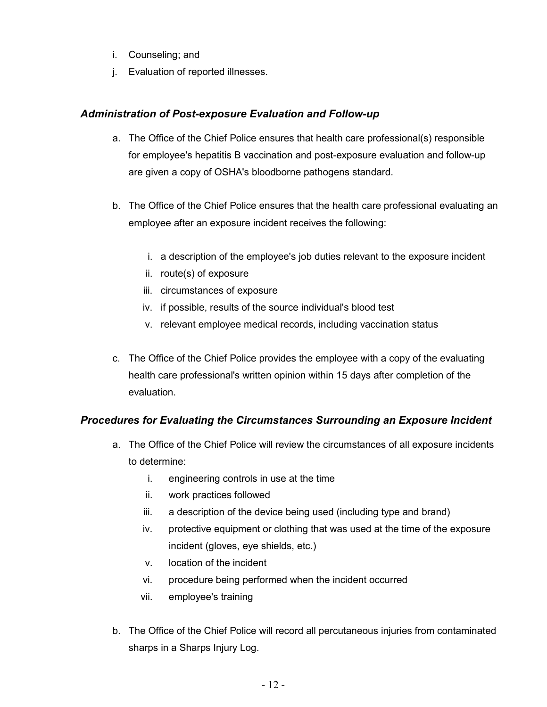- i. Counseling; and
- j. Evaluation of reported illnesses.

### Administration of Post-exposure Evaluation and Follow-up

- a. The Office of the Chief Police ensures that health care professional(s) responsible for employee's hepatitis B vaccination and post-exposure evaluation and follow-up are given a copy of OSHA's bloodborne pathogens standard.
- b. The Office of the Chief Police ensures that the health care professional evaluating an employee after an exposure incident receives the following:
	- i. a description of the employee's job duties relevant to the exposure incident
	- ii. route(s) of exposure
	- iii. circumstances of exposure
	- iv. if possible, results of the source individual's blood test
	- v. relevant employee medical records, including vaccination status
- c. The Office of the Chief Police provides the employee with a copy of the evaluating health care professional's written opinion within 15 days after completion of the evaluation.

### Procedures for Evaluating the Circumstances Surrounding an Exposure Incident

- a. The Office of the Chief Police will review the circumstances of all exposure incidents to determine:
	- i. engineering controls in use at the time
	- ii. work practices followed
	- iii. a description of the device being used (including type and brand)
	- iv. protective equipment or clothing that was used at the time of the exposure incident (gloves, eye shields, etc.)
	- v. location of the incident
	- vi. procedure being performed when the incident occurred
	- vii. employee's training
- b. The Office of the Chief Police will record all percutaneous injuries from contaminated sharps in a Sharps Injury Log.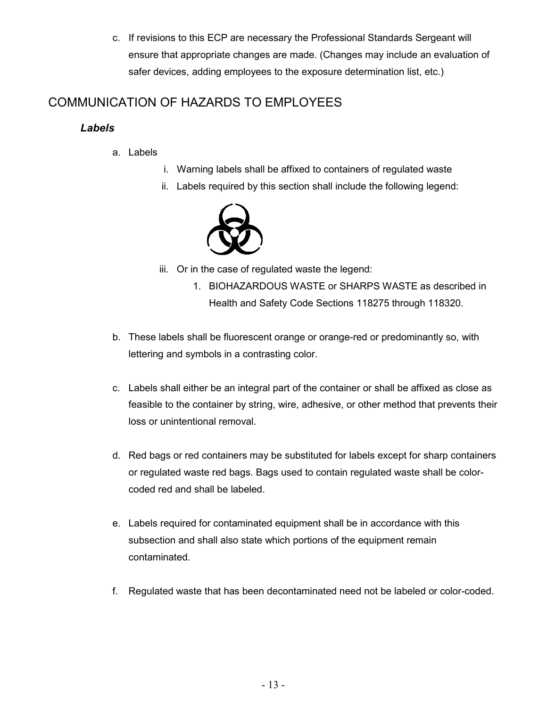c. If revisions to this ECP are necessary the Professional Standards Sergeant will ensure that appropriate changes are made. (Changes may include an evaluation of safer devices, adding employees to the exposure determination list, etc.)

# COMMUNICATION OF HAZARDS TO EMPLOYEES

# Labels

- a. Labels
- i. Warning labels shall be affixed to containers of regulated waste
- ii. Labels required by this section shall include the following legend:



iii. Or in the case of regulated waste the legend:

- 1. BIOHAZARDOUS WASTE or SHARPS WASTE as described in Health and Safety Code Sections 118275 through 118320.
- b. These labels shall be fluorescent orange or orange-red or predominantly so, with lettering and symbols in a contrasting color.
- c. Labels shall either be an integral part of the container or shall be affixed as close as feasible to the container by string, wire, adhesive, or other method that prevents their loss or unintentional removal.
- d. Red bags or red containers may be substituted for labels except for sharp containers or regulated waste red bags. Bags used to contain regulated waste shall be colorcoded red and shall be labeled.
- e. Labels required for contaminated equipment shall be in accordance with this subsection and shall also state which portions of the equipment remain contaminated.
- f. Regulated waste that has been decontaminated need not be labeled or color-coded.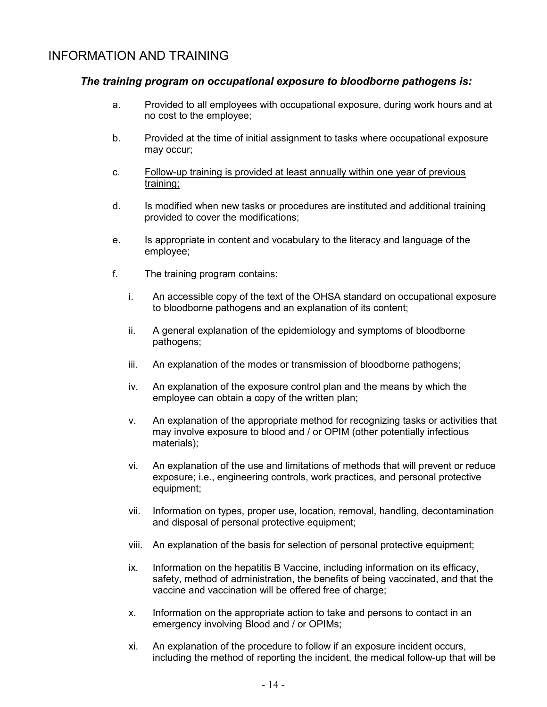# INFORMATION AND TRAINING

#### The training program on occupational exposure to bloodborne pathogens is:

- a. Provided to all employees with occupational exposure, during work hours and at no cost to the employee;
- b. Provided at the time of initial assignment to tasks where occupational exposure may occur;
- c. Follow-up training is provided at least annually within one year of previous training;
- d. Is modified when new tasks or procedures are instituted and additional training provided to cover the modifications;
- e. Is appropriate in content and vocabulary to the literacy and language of the employee;
- f. The training program contains:
	- i. An accessible copy of the text of the OHSA standard on occupational exposure to bloodborne pathogens and an explanation of its content;
	- ii. A general explanation of the epidemiology and symptoms of bloodborne pathogens;
	- iii. An explanation of the modes or transmission of bloodborne pathogens;
	- iv. An explanation of the exposure control plan and the means by which the employee can obtain a copy of the written plan;
	- v. An explanation of the appropriate method for recognizing tasks or activities that may involve exposure to blood and / or OPIM (other potentially infectious materials);
	- vi. An explanation of the use and limitations of methods that will prevent or reduce exposure; i.e., engineering controls, work practices, and personal protective equipment;
	- vii. Information on types, proper use, location, removal, handling, decontamination and disposal of personal protective equipment;
	- viii. An explanation of the basis for selection of personal protective equipment;
	- ix. Information on the hepatitis B Vaccine, including information on its efficacy, safety, method of administration, the benefits of being vaccinated, and that the vaccine and vaccination will be offered free of charge;
	- x. Information on the appropriate action to take and persons to contact in an emergency involving Blood and / or OPIMs;
	- xi. An explanation of the procedure to follow if an exposure incident occurs, including the method of reporting the incident, the medical follow-up that will be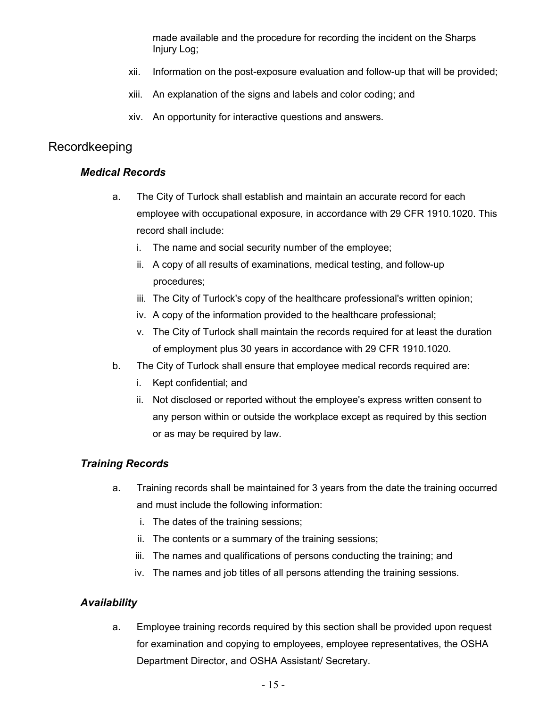made available and the procedure for recording the incident on the Sharps Injury Log;

- xii. Information on the post-exposure evaluation and follow-up that will be provided;
- xiii. An explanation of the signs and labels and color coding; and
- xiv. An opportunity for interactive questions and answers.

## Recordkeeping

### Medical Records

- a. The City of Turlock shall establish and maintain an accurate record for each employee with occupational exposure, in accordance with 29 CFR 1910.1020. This record shall include:
	- i. The name and social security number of the employee;
	- ii. A copy of all results of examinations, medical testing, and follow-up procedures;
	- iii. The City of Turlock's copy of the healthcare professional's written opinion;
	- iv. A copy of the information provided to the healthcare professional;
	- v. The City of Turlock shall maintain the records required for at least the duration of employment plus 30 years in accordance with 29 CFR 1910.1020.
- b. The City of Turlock shall ensure that employee medical records required are:
	- i. Kept confidential; and
	- ii. Not disclosed or reported without the employee's express written consent to any person within or outside the workplace except as required by this section or as may be required by law.

#### Training Records

- a. Training records shall be maintained for 3 years from the date the training occurred and must include the following information:
	- i. The dates of the training sessions;
	- ii. The contents or a summary of the training sessions;
	- iii. The names and qualifications of persons conducting the training; and
	- iv. The names and job titles of all persons attending the training sessions.

### Availability

a. Employee training records required by this section shall be provided upon request for examination and copying to employees, employee representatives, the OSHA Department Director, and OSHA Assistant/ Secretary.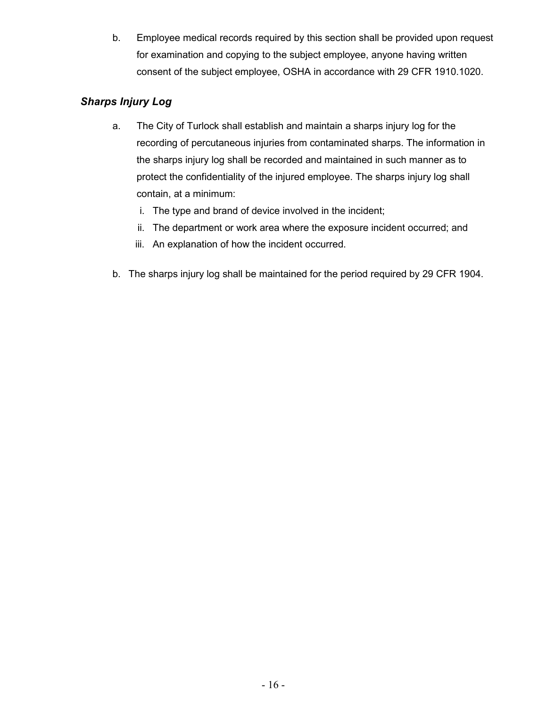b. Employee medical records required by this section shall be provided upon request for examination and copying to the subject employee, anyone having written consent of the subject employee, OSHA in accordance with 29 CFR 1910.1020.

### Sharps Injury Log

- a. The City of Turlock shall establish and maintain a sharps injury log for the recording of percutaneous injuries from contaminated sharps. The information in the sharps injury log shall be recorded and maintained in such manner as to protect the confidentiality of the injured employee. The sharps injury log shall contain, at a minimum:
	- i. The type and brand of device involved in the incident;
	- ii. The department or work area where the exposure incident occurred; and
	- iii. An explanation of how the incident occurred.
- b. The sharps injury log shall be maintained for the period required by 29 CFR 1904.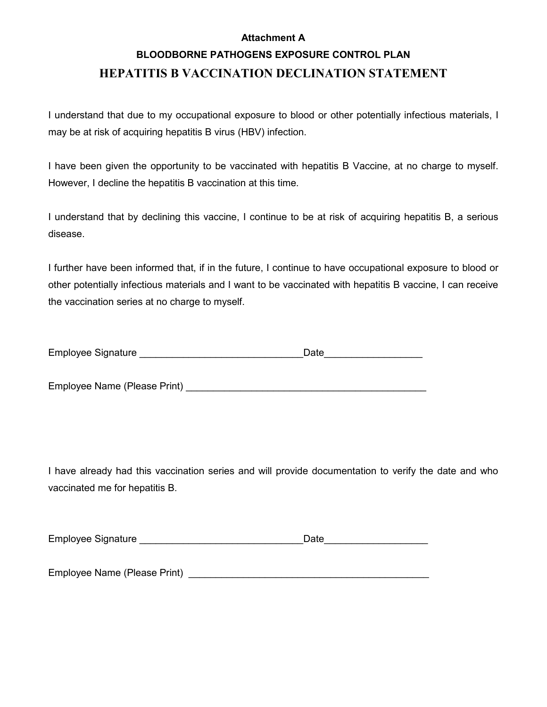#### Attachment A

# BLOODBORNE PATHOGENS EXPOSURE CONTROL PLAN HEPATITIS B VACCINATION DECLINATION STATEMENT

I understand that due to my occupational exposure to blood or other potentially infectious materials, I may be at risk of acquiring hepatitis B virus (HBV) infection.

I have been given the opportunity to be vaccinated with hepatitis B Vaccine, at no charge to myself. However, I decline the hepatitis B vaccination at this time.

I understand that by declining this vaccine, I continue to be at risk of acquiring hepatitis B, a serious disease.

I further have been informed that, if in the future, I continue to have occupational exposure to blood or other potentially infectious materials and I want to be vaccinated with hepatitis B vaccine, I can receive the vaccination series at no charge to myself.

| <b>Employee Signature</b> |  | Date |
|---------------------------|--|------|
|                           |  |      |

Employee Name (Please Print) **Employee Name** (Please Print)

I have already had this vaccination series and will provide documentation to verify the date and who vaccinated me for hepatitis B.

| Employee Signature | Date |
|--------------------|------|
|                    |      |

Employee Name (Please Print) **Example 2** and the end of the end of the end of the end of the end of the end of the end of the end of the end of the end of the end of the end of the end of the end of the end of the end of t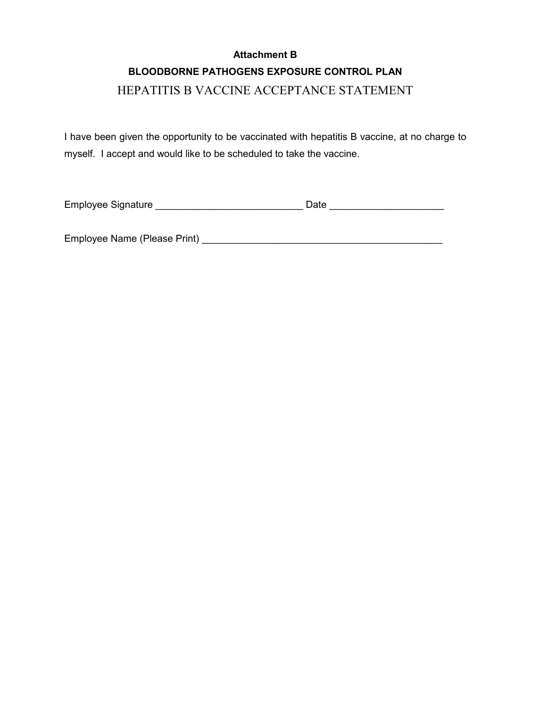# Attachment B BLOODBORNE PATHOGENS EXPOSURE CONTROL PLAN HEPATITIS B VACCINE ACCEPTANCE STATEMENT

I have been given the opportunity to be vaccinated with hepatitis B vaccine, at no charge to myself. I accept and would like to be scheduled to take the vaccine.

Employee Signature \_\_\_\_\_\_\_\_\_\_\_\_\_\_\_\_\_\_\_\_\_\_\_\_\_\_\_ Date \_\_\_\_\_\_\_\_\_\_\_\_\_\_\_\_\_\_\_\_\_

Employee Name (Please Print) \_\_\_\_\_\_\_\_\_\_\_\_\_\_\_\_\_\_\_\_\_\_\_\_\_\_\_\_\_\_\_\_\_\_\_\_\_\_\_\_\_\_\_\_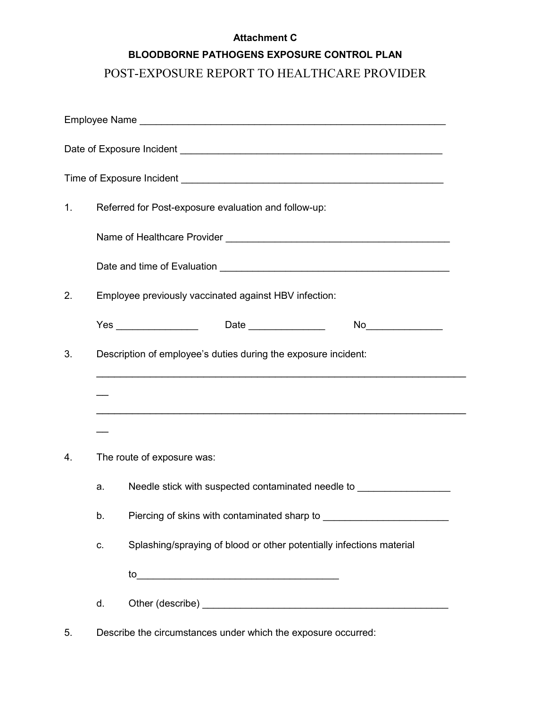#### Attachment C

### BLOODBORNE PATHOGENS EXPOSURE CONTROL PLAN

# POST-EXPOSURE REPORT TO HEALTHCARE PROVIDER

| 1. |                                                                | Referred for Post-exposure evaluation and follow-up:                 |  |
|----|----------------------------------------------------------------|----------------------------------------------------------------------|--|
|    |                                                                |                                                                      |  |
|    |                                                                |                                                                      |  |
| 2. | Employee previously vaccinated against HBV infection:          |                                                                      |  |
|    |                                                                | Yes _________________  Date ______________<br>No                     |  |
| 3. | Description of employee's duties during the exposure incident: |                                                                      |  |
|    |                                                                |                                                                      |  |
|    |                                                                |                                                                      |  |
| 4. |                                                                | The route of exposure was:                                           |  |
|    | a.                                                             | Needle stick with suspected contaminated needle to                   |  |
|    | b.                                                             |                                                                      |  |
|    | C.                                                             | Splashing/spraying of blood or other potentially infections material |  |
|    |                                                                |                                                                      |  |
|    | d.                                                             |                                                                      |  |
|    |                                                                |                                                                      |  |

5. Describe the circumstances under which the exposure occurred: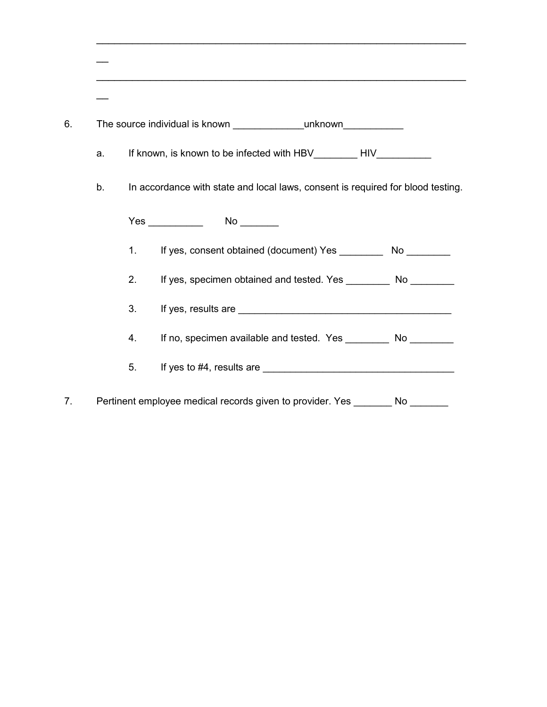| a. |                                                                                                                                                                                                                                    |
|----|------------------------------------------------------------------------------------------------------------------------------------------------------------------------------------------------------------------------------------|
| b. | In accordance with state and local laws, consent is required for blood testing.                                                                                                                                                    |
|    | Yes ____________                                                                                                                                                                                                                   |
|    | If yes, consent obtained (document) Yes ___________ No _________<br>1.                                                                                                                                                             |
|    | 2.                                                                                                                                                                                                                                 |
|    | 3.                                                                                                                                                                                                                                 |
|    | If no, specimen available and tested. Yes ___________ No __________<br>4.                                                                                                                                                          |
|    | If yes to #4, results are $\frac{1}{2}$ The substantial state of the state of the state of the state of the state of the state of the state of the state of the state of the state of the state of the state of the state of<br>5. |
|    | Pertinent employee medical records given to provider. Yes ________ No ____                                                                                                                                                         |

 $\_$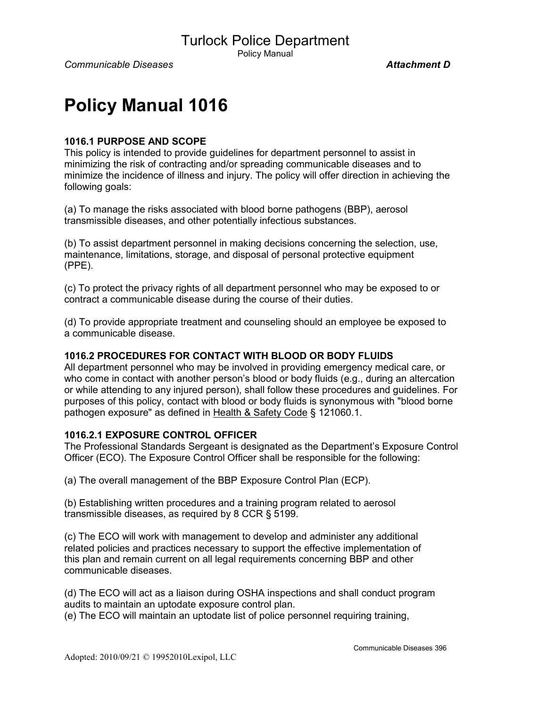Policy Manual

# Policy Manual 1016

#### 1016.1 PURPOSE AND SCOPE

This policy is intended to provide guidelines for department personnel to assist in minimizing the risk of contracting and/or spreading communicable diseases and to minimize the incidence of illness and injury. The policy will offer direction in achieving the following goals:

(a) To manage the risks associated with blood borne pathogens (BBP), aerosol transmissible diseases, and other potentially infectious substances.

(b) To assist department personnel in making decisions concerning the selection, use, maintenance, limitations, storage, and disposal of personal protective equipment (PPE).

(c) To protect the privacy rights of all department personnel who may be exposed to or contract a communicable disease during the course of their duties.

(d) To provide appropriate treatment and counseling should an employee be exposed to a communicable disease.

#### 1016.2 PROCEDURES FOR CONTACT WITH BLOOD OR BODY FLUIDS

All department personnel who may be involved in providing emergency medical care, or who come in contact with another person's blood or body fluids (e.g., during an altercation or while attending to any injured person), shall follow these procedures and guidelines. For purposes of this policy, contact with blood or body fluids is synonymous with "blood borne pathogen exposure" as defined in Health & Safety Code § 121060.1.

#### 1016.2.1 EXPOSURE CONTROL OFFICER

The Professional Standards Sergeant is designated as the Department's Exposure Control Officer (ECO). The Exposure Control Officer shall be responsible for the following:

(a) The overall management of the BBP Exposure Control Plan (ECP).

(b) Establishing written procedures and a training program related to aerosol transmissible diseases, as required by 8 CCR § 5199.

(c) The ECO will work with management to develop and administer any additional related policies and practices necessary to support the effective implementation of this plan and remain current on all legal requirements concerning BBP and other communicable diseases.

(d) The ECO will act as a liaison during OSHA inspections and shall conduct program audits to maintain an uptodate exposure control plan.

(e) The ECO will maintain an uptodate list of police personnel requiring training,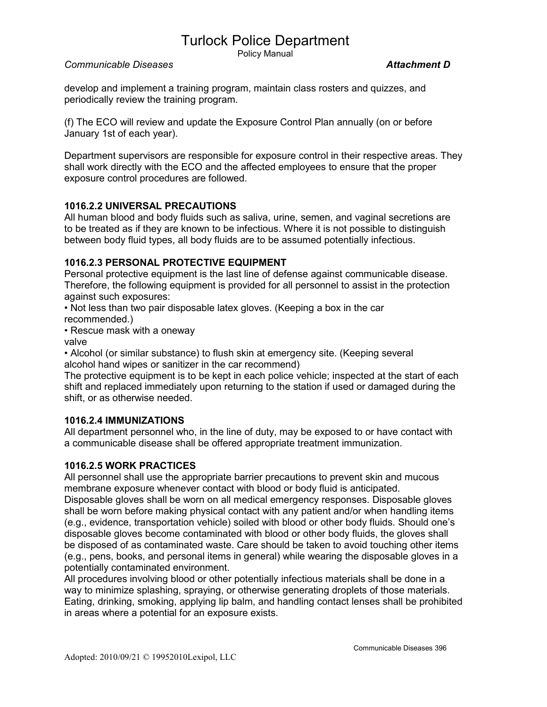Policy Manual

#### Communicable Diseases **Attachment D**

develop and implement a training program, maintain class rosters and quizzes, and periodically review the training program.

(f) The ECO will review and update the Exposure Control Plan annually (on or before January 1st of each year).

Department supervisors are responsible for exposure control in their respective areas. They shall work directly with the ECO and the affected employees to ensure that the proper exposure control procedures are followed.

#### 1016.2.2 UNIVERSAL PRECAUTIONS

All human blood and body fluids such as saliva, urine, semen, and vaginal secretions are to be treated as if they are known to be infectious. Where it is not possible to distinguish between body fluid types, all body fluids are to be assumed potentially infectious.

#### 1016.2.3 PERSONAL PROTECTIVE EQUIPMENT

Personal protective equipment is the last line of defense against communicable disease. Therefore, the following equipment is provided for all personnel to assist in the protection against such exposures:

• Not less than two pair disposable latex gloves. (Keeping a box in the car recommended.)

• Rescue mask with a oneway

valve

• Alcohol (or similar substance) to flush skin at emergency site. (Keeping several alcohol hand wipes or sanitizer in the car recommend)

The protective equipment is to be kept in each police vehicle; inspected at the start of each shift and replaced immediately upon returning to the station if used or damaged during the shift, or as otherwise needed.

#### 1016.2.4 IMMUNIZATIONS

All department personnel who, in the line of duty, may be exposed to or have contact with a communicable disease shall be offered appropriate treatment immunization.

#### 1016.2.5 WORK PRACTICES

All personnel shall use the appropriate barrier precautions to prevent skin and mucous membrane exposure whenever contact with blood or body fluid is anticipated.

Disposable gloves shall be worn on all medical emergency responses. Disposable gloves shall be worn before making physical contact with any patient and/or when handling items (e.g., evidence, transportation vehicle) soiled with blood or other body fluids. Should one's disposable gloves become contaminated with blood or other body fluids, the gloves shall be disposed of as contaminated waste. Care should be taken to avoid touching other items (e.g., pens, books, and personal items in general) while wearing the disposable gloves in a potentially contaminated environment.

All procedures involving blood or other potentially infectious materials shall be done in a way to minimize splashing, spraying, or otherwise generating droplets of those materials. Eating, drinking, smoking, applying lip balm, and handling contact lenses shall be prohibited in areas where a potential for an exposure exists.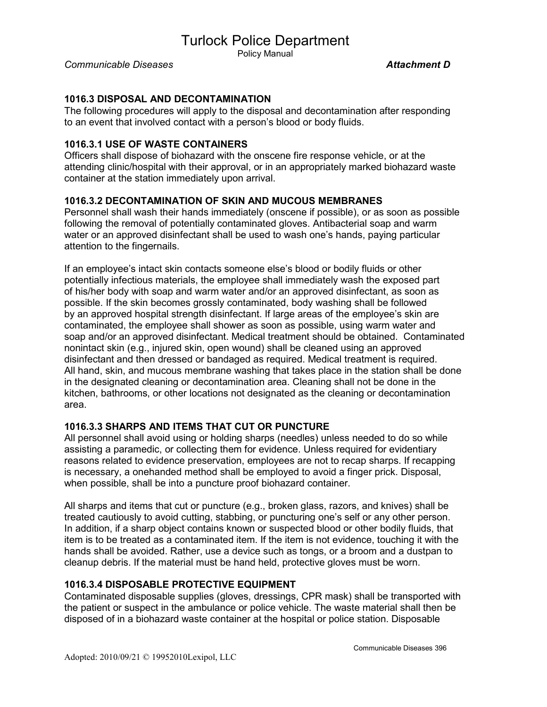Policy Manual

Communicable Diseases **Attachment D** 

#### 1016.3 DISPOSAL AND DECONTAMINATION

The following procedures will apply to the disposal and decontamination after responding to an event that involved contact with a person's blood or body fluids.

#### 1016.3.1 USE OF WASTE CONTAINERS

Officers shall dispose of biohazard with the onscene fire response vehicle, or at the attending clinic/hospital with their approval, or in an appropriately marked biohazard waste container at the station immediately upon arrival.

#### 1016.3.2 DECONTAMINATION OF SKIN AND MUCOUS MEMBRANES

Personnel shall wash their hands immediately (onscene if possible), or as soon as possible following the removal of potentially contaminated gloves. Antibacterial soap and warm water or an approved disinfectant shall be used to wash one's hands, paying particular attention to the fingernails.

If an employee's intact skin contacts someone else's blood or bodily fluids or other potentially infectious materials, the employee shall immediately wash the exposed part of his/her body with soap and warm water and/or an approved disinfectant, as soon as possible. If the skin becomes grossly contaminated, body washing shall be followed by an approved hospital strength disinfectant. If large areas of the employee's skin are contaminated, the employee shall shower as soon as possible, using warm water and soap and/or an approved disinfectant. Medical treatment should be obtained. Contaminated nonintact skin (e.g., injured skin, open wound) shall be cleaned using an approved disinfectant and then dressed or bandaged as required. Medical treatment is required. All hand, skin, and mucous membrane washing that takes place in the station shall be done in the designated cleaning or decontamination area. Cleaning shall not be done in the kitchen, bathrooms, or other locations not designated as the cleaning or decontamination area.

#### 1016.3.3 SHARPS AND ITEMS THAT CUT OR PUNCTURE

All personnel shall avoid using or holding sharps (needles) unless needed to do so while assisting a paramedic, or collecting them for evidence. Unless required for evidentiary reasons related to evidence preservation, employees are not to recap sharps. If recapping is necessary, a onehanded method shall be employed to avoid a finger prick. Disposal, when possible, shall be into a puncture proof biohazard container.

All sharps and items that cut or puncture (e.g., broken glass, razors, and knives) shall be treated cautiously to avoid cutting, stabbing, or puncturing one's self or any other person. In addition, if a sharp object contains known or suspected blood or other bodily fluids, that item is to be treated as a contaminated item. If the item is not evidence, touching it with the hands shall be avoided. Rather, use a device such as tongs, or a broom and a dustpan to cleanup debris. If the material must be hand held, protective gloves must be worn.

#### 1016.3.4 DISPOSABLE PROTECTIVE EQUIPMENT

Contaminated disposable supplies (gloves, dressings, CPR mask) shall be transported with the patient or suspect in the ambulance or police vehicle. The waste material shall then be disposed of in a biohazard waste container at the hospital or police station. Disposable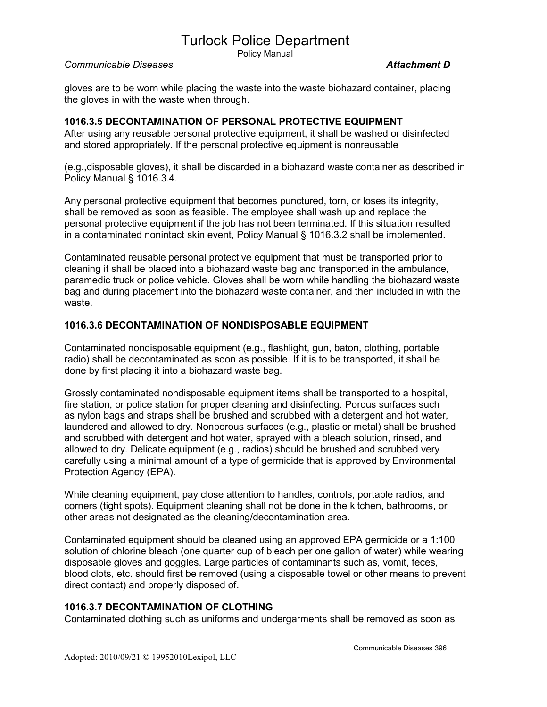Policy Manual

#### Communicable Diseases **Attachment D**

gloves are to be worn while placing the waste into the waste biohazard container, placing the gloves in with the waste when through.

#### 1016.3.5 DECONTAMINATION OF PERSONAL PROTECTIVE EQUIPMENT

After using any reusable personal protective equipment, it shall be washed or disinfected and stored appropriately. If the personal protective equipment is nonreusable

(e.g.,disposable gloves), it shall be discarded in a biohazard waste container as described in Policy Manual § 1016.3.4.

Any personal protective equipment that becomes punctured, torn, or loses its integrity, shall be removed as soon as feasible. The employee shall wash up and replace the personal protective equipment if the job has not been terminated. If this situation resulted in a contaminated nonintact skin event, Policy Manual § 1016.3.2 shall be implemented.

Contaminated reusable personal protective equipment that must be transported prior to cleaning it shall be placed into a biohazard waste bag and transported in the ambulance, paramedic truck or police vehicle. Gloves shall be worn while handling the biohazard waste bag and during placement into the biohazard waste container, and then included in with the waste.

#### 1016.3.6 DECONTAMINATION OF NONDISPOSABLE EQUIPMENT

Contaminated nondisposable equipment (e.g., flashlight, gun, baton, clothing, portable radio) shall be decontaminated as soon as possible. If it is to be transported, it shall be done by first placing it into a biohazard waste bag.

Grossly contaminated nondisposable equipment items shall be transported to a hospital, fire station, or police station for proper cleaning and disinfecting. Porous surfaces such as nylon bags and straps shall be brushed and scrubbed with a detergent and hot water, laundered and allowed to dry. Nonporous surfaces (e.g., plastic or metal) shall be brushed and scrubbed with detergent and hot water, sprayed with a bleach solution, rinsed, and allowed to dry. Delicate equipment (e.g., radios) should be brushed and scrubbed very carefully using a minimal amount of a type of germicide that is approved by Environmental Protection Agency (EPA).

While cleaning equipment, pay close attention to handles, controls, portable radios, and corners (tight spots). Equipment cleaning shall not be done in the kitchen, bathrooms, or other areas not designated as the cleaning/decontamination area.

Contaminated equipment should be cleaned using an approved EPA germicide or a 1:100 solution of chlorine bleach (one quarter cup of bleach per one gallon of water) while wearing disposable gloves and goggles. Large particles of contaminants such as, vomit, feces, blood clots, etc. should first be removed (using a disposable towel or other means to prevent direct contact) and properly disposed of.

#### 1016.3.7 DECONTAMINATION OF CLOTHING

Contaminated clothing such as uniforms and undergarments shall be removed as soon as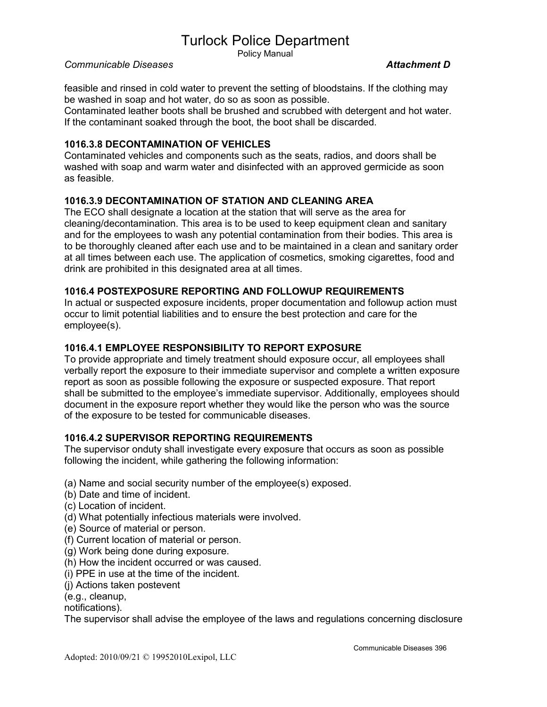Policy Manual

#### Communicable Diseases **Attachment D**

feasible and rinsed in cold water to prevent the setting of bloodstains. If the clothing may be washed in soap and hot water, do so as soon as possible.

Contaminated leather boots shall be brushed and scrubbed with detergent and hot water. If the contaminant soaked through the boot, the boot shall be discarded.

#### 1016.3.8 DECONTAMINATION OF VEHICLES

Contaminated vehicles and components such as the seats, radios, and doors shall be washed with soap and warm water and disinfected with an approved germicide as soon as feasible.

#### 1016.3.9 DECONTAMINATION OF STATION AND CLEANING AREA

The ECO shall designate a location at the station that will serve as the area for cleaning/decontamination. This area is to be used to keep equipment clean and sanitary and for the employees to wash any potential contamination from their bodies. This area is to be thoroughly cleaned after each use and to be maintained in a clean and sanitary order at all times between each use. The application of cosmetics, smoking cigarettes, food and drink are prohibited in this designated area at all times.

#### 1016.4 POSTEXPOSURE REPORTING AND FOLLOWUP REQUIREMENTS

In actual or suspected exposure incidents, proper documentation and followup action must occur to limit potential liabilities and to ensure the best protection and care for the employee(s).

#### 1016.4.1 EMPLOYEE RESPONSIBILITY TO REPORT EXPOSURE

To provide appropriate and timely treatment should exposure occur, all employees shall verbally report the exposure to their immediate supervisor and complete a written exposure report as soon as possible following the exposure or suspected exposure. That report shall be submitted to the employee's immediate supervisor. Additionally, employees should document in the exposure report whether they would like the person who was the source of the exposure to be tested for communicable diseases.

#### 1016.4.2 SUPERVISOR REPORTING REQUIREMENTS

The supervisor onduty shall investigate every exposure that occurs as soon as possible following the incident, while gathering the following information:

- (a) Name and social security number of the employee(s) exposed.
- (b) Date and time of incident.
- (c) Location of incident.
- (d) What potentially infectious materials were involved.
- (e) Source of material or person.
- (f) Current location of material or person.
- (g) Work being done during exposure.
- (h) How the incident occurred or was caused.
- (i) PPE in use at the time of the incident.
- (j) Actions taken postevent
- (e.g., cleanup,

notifications).

The supervisor shall advise the employee of the laws and regulations concerning disclosure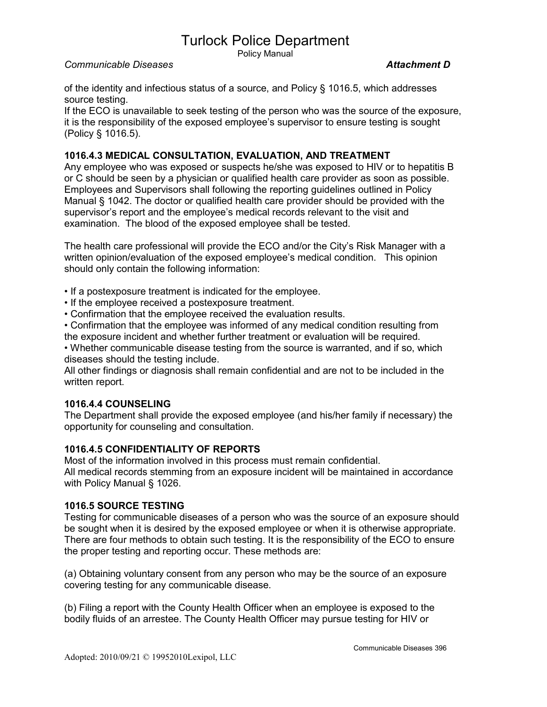Policy Manual

#### Communicable Diseases **Attachment D**

of the identity and infectious status of a source, and Policy § 1016.5, which addresses source testing.

If the ECO is unavailable to seek testing of the person who was the source of the exposure, it is the responsibility of the exposed employee's supervisor to ensure testing is sought (Policy § 1016.5).

#### 1016.4.3 MEDICAL CONSULTATION, EVALUATION, AND TREATMENT

Any employee who was exposed or suspects he/she was exposed to HIV or to hepatitis B or C should be seen by a physician or qualified health care provider as soon as possible. Employees and Supervisors shall following the reporting guidelines outlined in Policy Manual § 1042. The doctor or qualified health care provider should be provided with the supervisor's report and the employee's medical records relevant to the visit and examination. The blood of the exposed employee shall be tested.

The health care professional will provide the ECO and/or the City's Risk Manager with a written opinion/evaluation of the exposed employee's medical condition. This opinion should only contain the following information:

• If a postexposure treatment is indicated for the employee.

• If the employee received a postexposure treatment.

• Confirmation that the employee received the evaluation results.

• Confirmation that the employee was informed of any medical condition resulting from the exposure incident and whether further treatment or evaluation will be required.

• Whether communicable disease testing from the source is warranted, and if so, which diseases should the testing include.

All other findings or diagnosis shall remain confidential and are not to be included in the written report.

#### 1016.4.4 COUNSELING

The Department shall provide the exposed employee (and his/her family if necessary) the opportunity for counseling and consultation.

#### 1016.4.5 CONFIDENTIALITY OF REPORTS

Most of the information involved in this process must remain confidential. All medical records stemming from an exposure incident will be maintained in accordance with Policy Manual § 1026.

#### 1016.5 SOURCE TESTING

Testing for communicable diseases of a person who was the source of an exposure should be sought when it is desired by the exposed employee or when it is otherwise appropriate. There are four methods to obtain such testing. It is the responsibility of the ECO to ensure the proper testing and reporting occur. These methods are:

(a) Obtaining voluntary consent from any person who may be the source of an exposure covering testing for any communicable disease.

(b) Filing a report with the County Health Officer when an employee is exposed to the bodily fluids of an arrestee. The County Health Officer may pursue testing for HIV or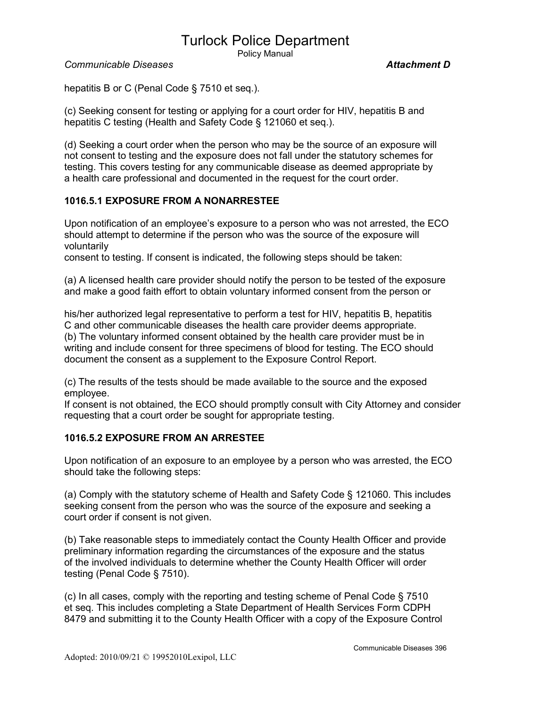Policy Manual

Communicable Diseases **Attachment D** 

hepatitis B or C (Penal Code § 7510 et seq.).

(c) Seeking consent for testing or applying for a court order for HIV, hepatitis B and hepatitis C testing (Health and Safety Code § 121060 et seq.).

(d) Seeking a court order when the person who may be the source of an exposure will not consent to testing and the exposure does not fall under the statutory schemes for testing. This covers testing for any communicable disease as deemed appropriate by a health care professional and documented in the request for the court order.

#### 1016.5.1 EXPOSURE FROM A NONARRESTEE

Upon notification of an employee's exposure to a person who was not arrested, the ECO should attempt to determine if the person who was the source of the exposure will voluntarily

consent to testing. If consent is indicated, the following steps should be taken:

(a) A licensed health care provider should notify the person to be tested of the exposure and make a good faith effort to obtain voluntary informed consent from the person or

his/her authorized legal representative to perform a test for HIV, hepatitis B, hepatitis C and other communicable diseases the health care provider deems appropriate. (b) The voluntary informed consent obtained by the health care provider must be in writing and include consent for three specimens of blood for testing. The ECO should document the consent as a supplement to the Exposure Control Report.

(c) The results of the tests should be made available to the source and the exposed employee.

If consent is not obtained, the ECO should promptly consult with City Attorney and consider requesting that a court order be sought for appropriate testing.

#### 1016.5.2 EXPOSURE FROM AN ARRESTEE

Upon notification of an exposure to an employee by a person who was arrested, the ECO should take the following steps:

(a) Comply with the statutory scheme of Health and Safety Code § 121060. This includes seeking consent from the person who was the source of the exposure and seeking a court order if consent is not given.

(b) Take reasonable steps to immediately contact the County Health Officer and provide preliminary information regarding the circumstances of the exposure and the status of the involved individuals to determine whether the County Health Officer will order testing (Penal Code § 7510).

(c) In all cases, comply with the reporting and testing scheme of Penal Code § 7510 et seq. This includes completing a State Department of Health Services Form CDPH 8479 and submitting it to the County Health Officer with a copy of the Exposure Control